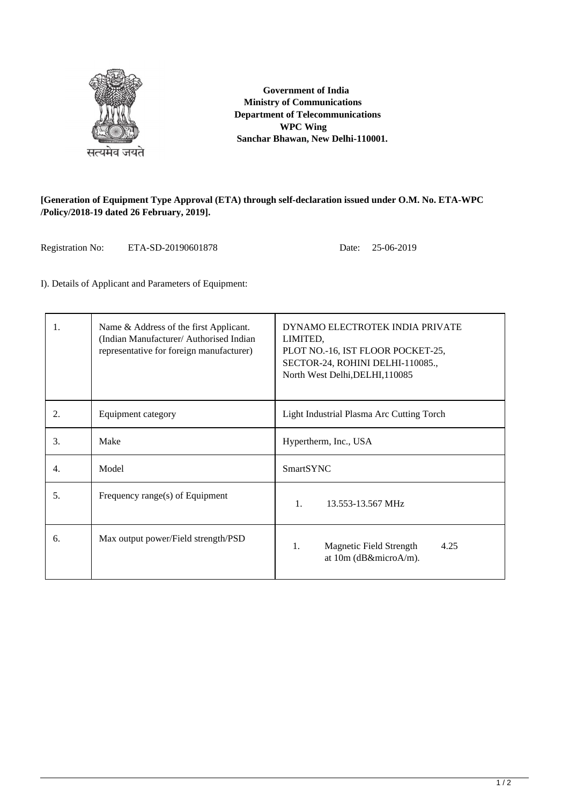

 **Government of India Ministry of Communications Department of Telecommunications WPC Wing Sanchar Bhawan, New Delhi-110001.**

## **[Generation of Equipment Type Approval (ETA) through self-declaration issued under O.M. No. ETA-WPC /Policy/2018-19 dated 26 February, 2019].**

Registration No: ETA-SD-20190601878 Date: 25-06-2019

I). Details of Applicant and Parameters of Equipment:

| 1. | Name & Address of the first Applicant.<br>(Indian Manufacturer/ Authorised Indian<br>representative for foreign manufacturer) | DYNAMO ELECTROTEK INDIA PRIVATE<br>LIMITED,<br>PLOT NO.-16, IST FLOOR POCKET-25,<br>SECTOR-24, ROHINI DELHI-110085.,<br>North West Delhi, DELHI, 110085 |  |  |
|----|-------------------------------------------------------------------------------------------------------------------------------|---------------------------------------------------------------------------------------------------------------------------------------------------------|--|--|
| 2. | Equipment category                                                                                                            | Light Industrial Plasma Arc Cutting Torch                                                                                                               |  |  |
| 3. | Make                                                                                                                          | Hypertherm, Inc., USA                                                                                                                                   |  |  |
| 4. | Model                                                                                                                         | <b>SmartSYNC</b>                                                                                                                                        |  |  |
| 5. | Frequency range(s) of Equipment                                                                                               | $\mathbf{1}$ .<br>13.553-13.567 MHz                                                                                                                     |  |  |
| 6. | Max output power/Field strength/PSD                                                                                           | 4.25<br>1.<br>Magnetic Field Strength<br>at 10m (dB&microA/m).                                                                                          |  |  |